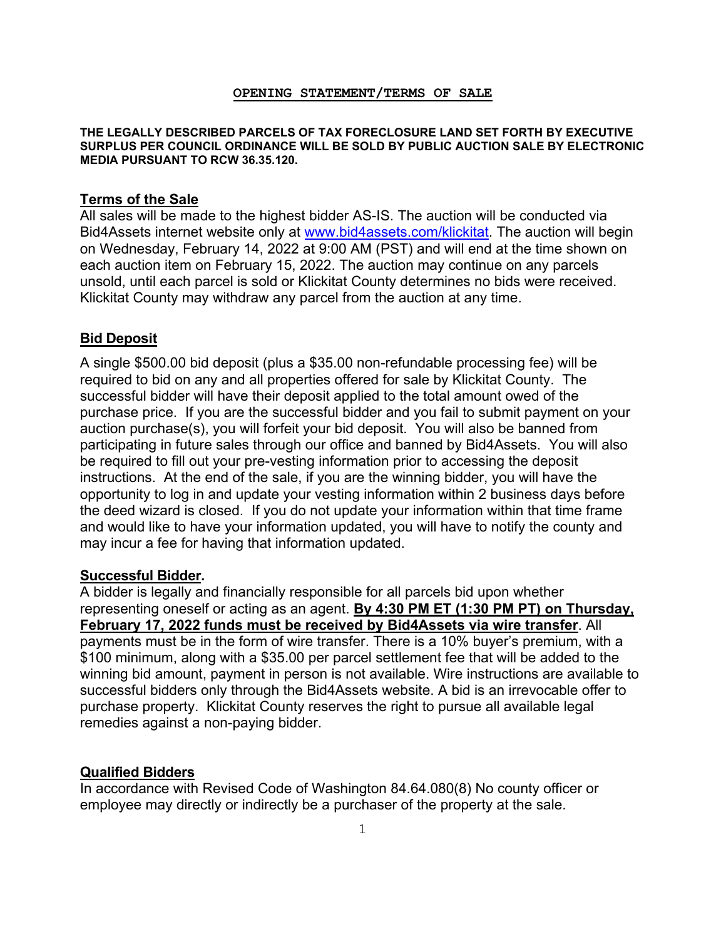#### **OPENING STATEMENT/TERMS OF SALE**

#### **THE LEGALLY DESCRIBED PARCELS OF TAX FORECLOSURE LAND SET FORTH BY EXECUTIVE SURPLUS PER COUNCIL ORDINANCE WILL BE SOLD BY PUBLIC AUCTION SALE BY ELECTRONIC MEDIA PURSUANT TO RCW 36.35.120.**

#### **Terms of the Sale**

All sales will be made to the highest bidder AS-IS. The auction will be conducted via Bid4Assets internet website only at [www.bid4assets.com/](www.bid4assets.com)klickitat. The auction will begin on Wednesday, February 14, 2022 at 9:00 AM (PST) and will end at the time shown on each auction item on February 15, 2022. The auction may continue on any parcels unsold, until each parcel is sold or Klickitat County determines no bids were received. Klickitat County may withdraw any parcel from the auction at any time.

### **Bid Deposit**

A single \$500.00 bid deposit (plus a \$35.00 non-refundable processing fee) will be required to bid on any and all properties offered for sale by Klickitat County. The successful bidder will have their deposit applied to the total amount owed of the purchase price. If you are the successful bidder and you fail to submit payment on your auction purchase(s), you will forfeit your bid deposit. You will also be banned from participating in future sales through our office and banned by Bid4Assets. You will also be required to fill out your pre-vesting information prior to accessing the deposit instructions. At the end of the sale, if you are the winning bidder, you will have the opportunity to log in and update your vesting information within 2 business days before the deed wizard is closed. If you do not update your information within that time frame and would like to have your information updated, you will have to notify the county and may incur a fee for having that information updated.

#### **Successful Bidder.**

A bidder is legally and financially responsible for all parcels bid upon whether representing oneself or acting as an agent. **By 4:30 PM ET (1:30 PM PT) on Thursday, February 17, 2022 funds must be received by Bid4Assets via wire transfer**. All payments must be in the form of wire transfer. There is a 10% buyer's premium, with a \$100 minimum, along with a \$35.00 per parcel settlement fee that will be added to the winning bid amount, payment in person is not available. Wire instructions are available to successful bidders only through the Bid4Assets website. A bid is an irrevocable offer to purchase property. Klickitat County reserves the right to pursue all available legal remedies against a non-paying bidder.

#### **Qualified Bidders**

In accordance with Revised Code of Washington 84.64.080(8) No county officer or employee may directly or indirectly be a purchaser of the property at the sale.